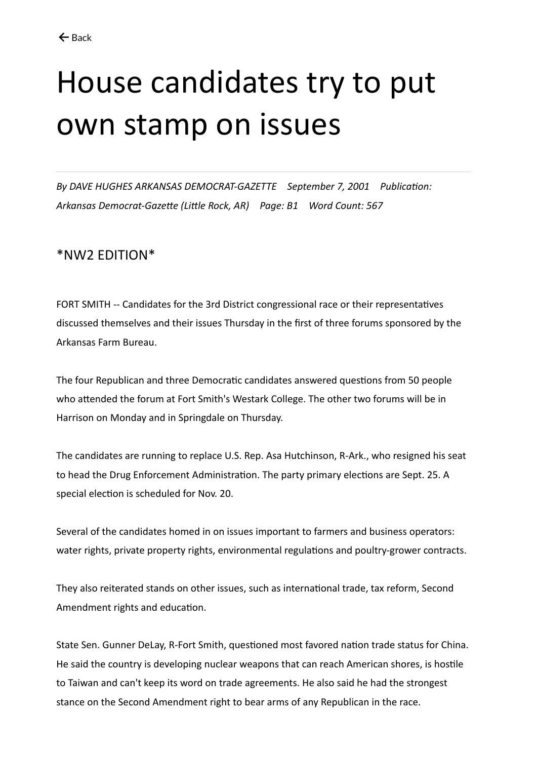## House candidates try to put own stamp on issues

*By DAVE HUGHES ARKANSAS DEMOCRAT-GAZETTE September 7, 2001 Publication: Arkansas Democrat-Gazette (Little Rock, AR) Page: B1 Word Count: 567*

## \*NW2 EDITION\*

FORT SMITH -- Candidates for the 3rd District congressional race or their representatives discussed themselves and their issues Thursday in the first of three forums sponsored by the Arkansas Farm Bureau.

The four Republican and three Democratic candidates answered questions from 50 people who attended the forum at Fort Smith's Westark College. The other two forums will be in Harrison on Monday and in Springdale on Thursday.

The candidates are running to replace U.S. Rep. Asa Hutchinson, R-Ark., who resigned his seat to head the Drug Enforcement Administration. The party primary elections are Sept. 25. A special election is scheduled for Nov. 20.

Several of the candidates homed in on issues important to farmers and business operators: water rights, private property rights, environmental regulations and poultry-grower contracts.

They also reiterated stands on other issues, such as international trade, tax reform, Second Amendment rights and education.

State Sen. Gunner DeLay, R-Fort Smith, questioned most favored nation trade status for China. He said the country is developing nuclear weapons that can reach American shores, is hostile to Taiwan and can't keep its word on trade agreements. He also said he had the strongest stance on the Second Amendment right to bear arms of any Republican in the race.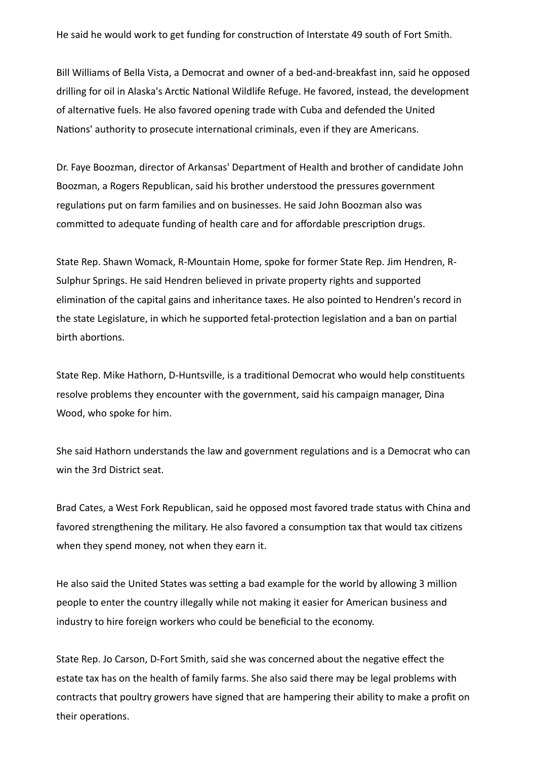He said he would work to get funding for construction of Interstate 49 south of Fort Smith.

Bill Williams of Bella Vista, a Democrat and owner of a bed-and-breakfast inn, said he opposed drilling for oil in Alaska's Arctic National Wildlife Refuge. He favored, instead, the development of alternative fuels. He also favored opening trade with Cuba and defended the United Nations' authority to prosecute international criminals, even if they are Americans.

Dr. Faye Boozman, director of Arkansas' Department of Health and brother of candidate John Boozman, a Rogers Republican, said his brother understood the pressures government regulations put on farm families and on businesses. He said John Boozman also was committed to adequate funding of health care and for affordable prescription drugs.

State Rep. Shawn Womack, R-Mountain Home, spoke for former State Rep. Jim Hendren, R-Sulphur Springs. He said Hendren believed in private property rights and supported elimination of the capital gains and inheritance taxes. He also pointed to Hendren's record in the state Legislature, in which he supported fetal-protection legislation and a ban on partial birth abortions.

State Rep. Mike Hathorn, D-Huntsville, is a traditional Democrat who would help constituents resolve problems they encounter with the government, said his campaign manager, Dina Wood, who spoke for him.

She said Hathorn understands the law and government regulations and is a Democrat who can win the 3rd District seat.

Brad Cates, a West Fork Republican, said he opposed most favored trade status with China and favored strengthening the military. He also favored a consumption tax that would tax citizens when they spend money, not when they earn it.

He also said the United States was setting a bad example for the world by allowing 3 million people to enter the country illegally while not making it easier for American business and industry to hire foreign workers who could be beneficial to the economy.

State Rep. Jo Carson, D-Fort Smith, said she was concerned about the negative effect the estate tax has on the health of family farms. She also said there may be legal problems with contracts that poultry growers have signed that are hampering their ability to make a profit on their operations.